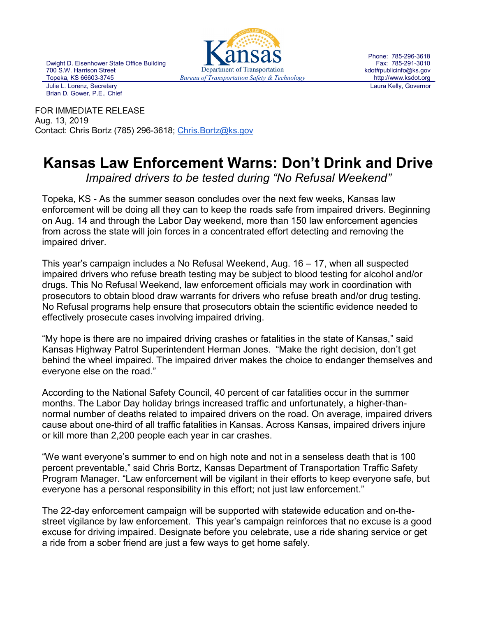Dwight D. Eisenhower State Office Building 700 S.W. Harrison Street Julie L. Lorenz, Secretary Brian D. Gower, P.E., Chief



Phone: 785-296-3618 Fax: 785-291-3010 kdot#publicinfo@ks.gov http://www.ksdot.org Laura Kelly, Governor

FOR IMMEDIATE RELEASE Aug. 13, 2019 Contact: Chris Bortz (785) 296-3618; Chris. Bortz@ks.gov

## **Kansas Law Enforcement Warns: Don't Drink and Drive**

*Impaired drivers to be tested during "No Refusal Weekend"*

Topeka, KS - As the summer season concludes over the next few weeks, Kansas law enforcement will be doing all they can to keep the roads safe from impaired drivers. Beginning on Aug. 14 and through the Labor Day weekend, more than 150 law enforcement agencies from across the state will join forces in a concentrated effort detecting and removing the impaired driver.

This year's campaign includes a No Refusal Weekend, Aug. 16 – 17, when all suspected impaired drivers who refuse breath testing may be subject to blood testing for alcohol and/or drugs. This No Refusal Weekend, law enforcement officials may work in coordination with prosecutors to obtain blood draw warrants for drivers who refuse breath and/or drug testing. No Refusal programs help ensure that prosecutors obtain the scientific evidence needed to effectively prosecute cases involving impaired driving.

"My hope is there are no impaired driving crashes or fatalities in the state of Kansas," said Kansas Highway Patrol Superintendent Herman Jones. "Make the right decision, don't get behind the wheel impaired. The impaired driver makes the choice to endanger themselves and everyone else on the road."

According to the National Safety Council, 40 percent of car fatalities occur in the summer months. The Labor Day holiday brings increased traffic and unfortunately, a higher-thannormal number of deaths related to impaired drivers on the road. On average, impaired drivers cause about one-third of all traffic fatalities in Kansas. Across Kansas, impaired drivers injure or kill more than 2,200 people each year in car crashes.

"We want everyone's summer to end on high note and not in a senseless death that is 100 percent preventable," said Chris Bortz, Kansas Department of Transportation Traffic Safety Program Manager. "Law enforcement will be vigilant in their efforts to keep everyone safe, but everyone has a personal responsibility in this effort; not just law enforcement."

The 22-day enforcement campaign will be supported with statewide education and on-thestreet vigilance by law enforcement. This year's campaign reinforces that no excuse is a good excuse for driving impaired. Designate before you celebrate, use a ride sharing service or get a ride from a sober friend are just a few ways to get home safely.